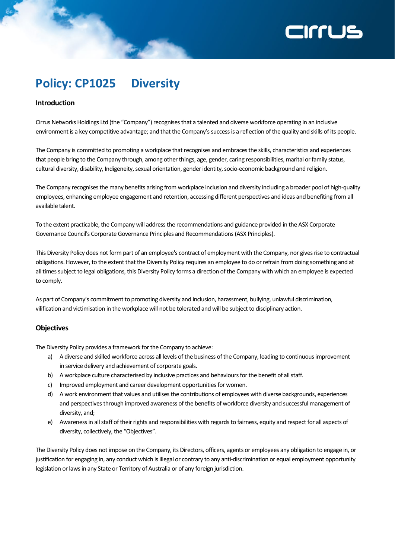# **ZILLIS**

### **Policy: CP1025 Diversity**

### **Introduction**

Cirrus Networks Holdings Ltd (the "Company") recognises that a talented and diverse workforce operating in an inclusive environment is a key competitive advantage; and that the Company's success is a reflection of the quality and skills of its people.

The Company is committed to promoting a workplace that recognises and embraces the skills, characteristics and experiences that people bring to the Company through, among other things, age, gender, caring responsibilities, marital or family status, cultural diversity, disability, Indigeneity, sexual orientation, gender identity, socio-economic background and religion.

The Company recognises the many benefits arising from workplace inclusion and diversity including a broader pool of high-quality employees, enhancing employee engagement and retention, accessing different perspectives and ideas and benefiting from all available talent.

To the extent practicable, the Company will address the recommendations and guidance provided in the ASX Corporate Governance Council's Corporate Governance Principles and Recommendations (ASX Principles).

This Diversity Policy does not form part of an employee's contract of employment with the Company, nor gives rise to contractual obligations. However, to the extent that the Diversity Policy requires an employee to do or refrain from doing something and at all times subject to legal obligations, this Diversity Policy forms a direction of the Company with which an employee is expected to comply.

As part of Company's commitment to promoting diversity and inclusion, harassment, bullying, unlawful discrimination, vilification and victimisation in the workplace will not be tolerated and will be subject to disciplinary action.

### **Objectives**

The Diversity Policy provides a framework for the Company to achieve:

- a) A diverse and skilled workforce across all levels of the business of the Company, leading to continuous improvement in service delivery and achievement of corporate goals.
- b) A workplace culture characterised by inclusive practices and behaviours for the benefit of all staff.
- c) Improved employment and career development opportunities for women.
- d) A work environment that values and utilises the contributions of employees with diverse backgrounds, experiences and perspectives through improved awareness of the benefits of workforce diversity and successful management of diversity, and;
- e) Awareness in all staff of their rights and responsibilities with regards to fairness, equity and respect for all aspects of diversity, collectively, the "Objectives".

The Diversity Policy does not impose on the Company, its Directors, officers, agents or employees any obligation to engage in, or justification for engaging in, any conduct which is illegal or contrary to any anti-discrimination or equal employment opportunity legislation or laws in any State or Territory of Australia or of any foreign jurisdiction.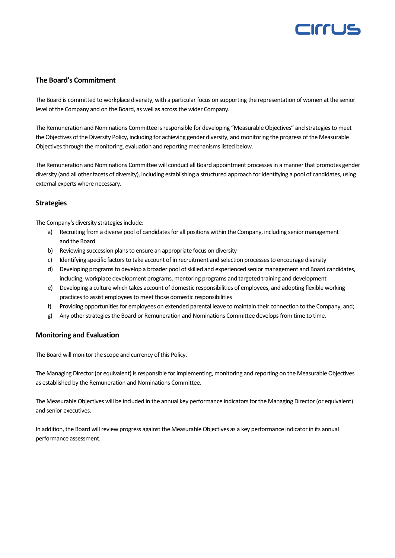## CITTUS

### **The Board's Commitment**

The Board is committed to workplace diversity, with a particular focus on supporting the representation of women at the senior level of the Company and on the Board, as well as across the wider Company.

The Remuneration and Nominations Committee is responsible for developing "Measurable Objectives" and strategies to meet the Objectives of the Diversity Policy, including for achieving gender diversity, and monitoring the progress of the Measurable Objectives through the monitoring, evaluation and reporting mechanisms listed below.

The Remuneration and Nominations Committee will conduct all Board appointment processes in a manner that promotes gender diversity (and all other facets of diversity), including establishing a structured approach for identifying a pool of candidates, using external experts where necessary.

### **Strategies**

The Company's diversity strategies include:

- a) Recruiting from a diverse pool of candidates for all positions within the Company, including senior management and the Board
- b) Reviewing succession plans to ensure an appropriate focus on diversity
- c) Identifying specific factors to take account of in recruitment and selection processes to encourage diversity
- d) Developing programs to develop a broader pool of skilled and experienced senior management and Board candidates, including, workplace development programs, mentoring programs and targeted training and development
- e) Developing a culture which takes account of domestic responsibilities of employees, and adopting flexible working practices to assist employees to meet those domestic responsibilities
- f) Providing opportunities for employees on extended parental leave to maintain their connection to the Company, and;
- g) Any other strategies the Board or Remuneration and Nominations Committee develops from time to time.

### **Monitoring and Evaluation**

The Board will monitor the scope and currency of this Policy.

The Managing Director (or equivalent) is responsible for implementing, monitoring and reporting on the Measurable Objectives as established by the Remuneration and Nominations Committee.

The Measurable Objectives will be included in the annual key performance indicators for the Managing Director (or equivalent) and senior executives.

In addition, the Board will review progress against the Measurable Objectives as a key performance indicator in its annual performance assessment.